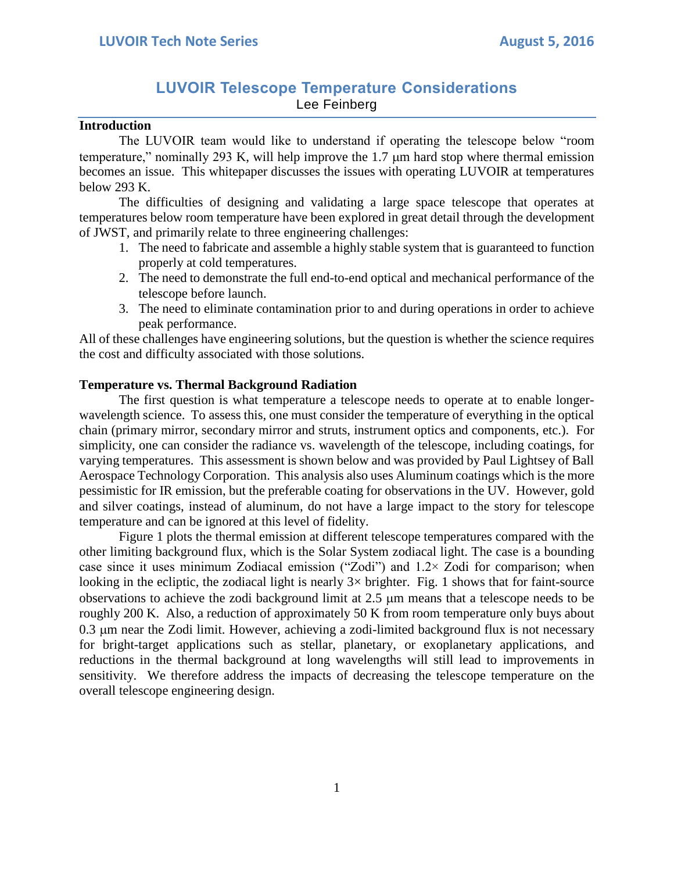# **LUVOIR Telescope Temperature Considerations** Lee Feinberg

### **Introduction**

The LUVOIR team would like to understand if operating the telescope below "room temperature," nominally 293 K, will help improve the  $1.7 \mu m$  hard stop where thermal emission becomes an issue. This whitepaper discusses the issues with operating LUVOIR at temperatures below 293 K.

The difficulties of designing and validating a large space telescope that operates at temperatures below room temperature have been explored in great detail through the development of JWST, and primarily relate to three engineering challenges:

- 1. The need to fabricate and assemble a highly stable system that is guaranteed to function properly at cold temperatures.
- 2. The need to demonstrate the full end-to-end optical and mechanical performance of the telescope before launch.
- 3. The need to eliminate contamination prior to and during operations in order to achieve peak performance.

All of these challenges have engineering solutions, but the question is whether the science requires the cost and difficulty associated with those solutions.

## **Temperature vs. Thermal Background Radiation**

The first question is what temperature a telescope needs to operate at to enable longerwavelength science. To assess this, one must consider the temperature of everything in the optical chain (primary mirror, secondary mirror and struts, instrument optics and components, etc.). For simplicity, one can consider the radiance vs. wavelength of the telescope, including coatings, for varying temperatures. This assessment is shown below and was provided by Paul Lightsey of Ball Aerospace Technology Corporation. This analysis also uses Aluminum coatings which is the more pessimistic for IR emission, but the preferable coating for observations in the UV. However, gold and silver coatings, instead of aluminum, do not have a large impact to the story for telescope temperature and can be ignored at this level of fidelity.

Figure 1 plots the thermal emission at different telescope temperatures compared with the other limiting background flux, which is the Solar System zodiacal light. The case is a bounding case since it uses minimum Zodiacal emission ("Zodi") and  $1.2 \times$  Zodi for comparison; when looking in the ecliptic, the zodiacal light is nearly  $3\times$  brighter. Fig. 1 shows that for faint-source observations to achieve the zodi background limit at  $2.5 \mu m$  means that a telescope needs to be roughly 200 K. Also, a reduction of approximately 50 K from room temperature only buys about 0.3 µm near the Zodi limit. However, achieving a zodi-limited background flux is not necessary for bright-target applications such as stellar, planetary, or exoplanetary applications, and reductions in the thermal background at long wavelengths will still lead to improvements in sensitivity. We therefore address the impacts of decreasing the telescope temperature on the overall telescope engineering design.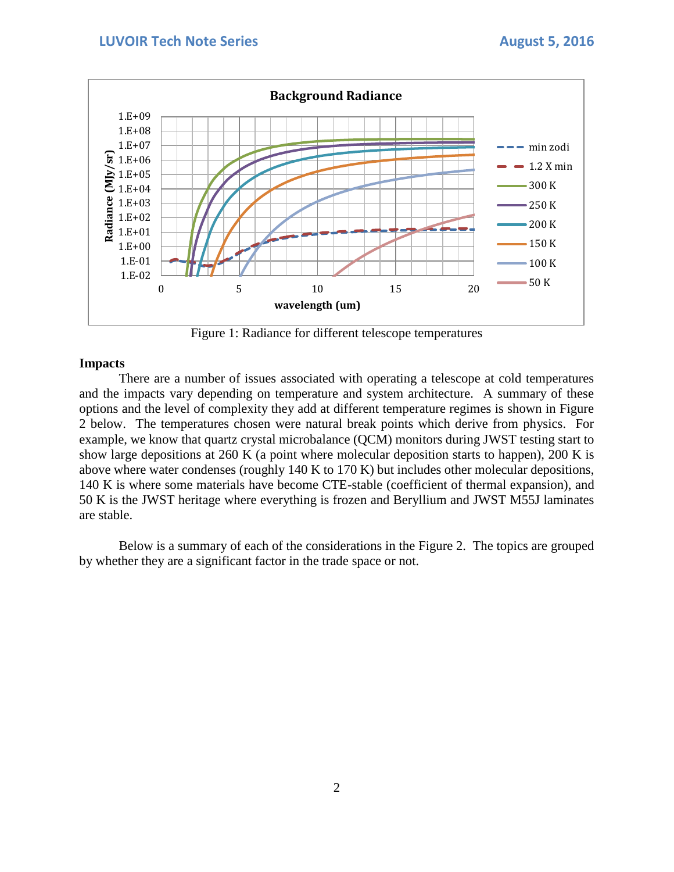

Figure 1: Radiance for different telescope temperatures

### **Impacts**

There are a number of issues associated with operating a telescope at cold temperatures and the impacts vary depending on temperature and system architecture. A summary of these options and the level of complexity they add at different temperature regimes is shown in Figure 2 below. The temperatures chosen were natural break points which derive from physics. For example, we know that quartz crystal microbalance (QCM) monitors during JWST testing start to show large depositions at 260 K (a point where molecular deposition starts to happen), 200 K is above where water condenses (roughly 140 K to 170 K) but includes other molecular depositions, 140 K is where some materials have become CTE-stable (coefficient of thermal expansion), and 50 K is the JWST heritage where everything is frozen and Beryllium and JWST M55J laminates are stable.

Below is a summary of each of the considerations in the Figure 2. The topics are grouped by whether they are a significant factor in the trade space or not.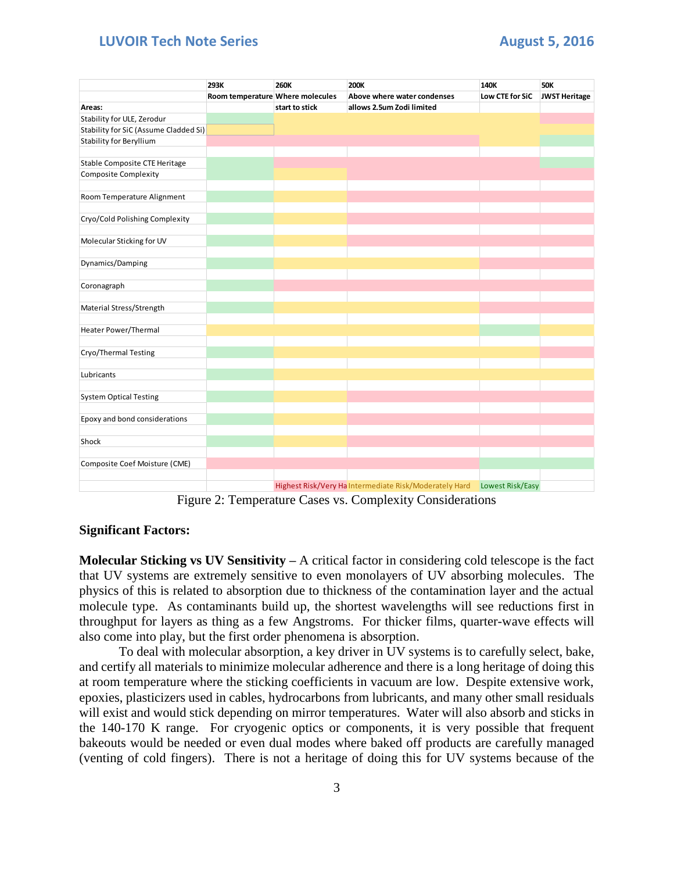## **LUVOIR Tech Note Series August 5, 2016**

|                                       | 293K                             | <b>260K</b>    | <b>200K</b>                                            | 140K             | <b>50K</b>           |
|---------------------------------------|----------------------------------|----------------|--------------------------------------------------------|------------------|----------------------|
|                                       | Room temperature Where molecules |                | Above where water condenses                            | Low CTE for SiC  | <b>JWST Heritage</b> |
| Areas:                                |                                  | start to stick | allows 2.5um Zodi limited                              |                  |                      |
| Stability for ULE, Zerodur            |                                  |                |                                                        |                  |                      |
| Stability for SiC (Assume Cladded Si) |                                  |                |                                                        |                  |                      |
| <b>Stability for Beryllium</b>        |                                  |                |                                                        |                  |                      |
|                                       |                                  |                |                                                        |                  |                      |
| Stable Composite CTE Heritage         |                                  |                |                                                        |                  |                      |
| <b>Composite Complexity</b>           |                                  |                |                                                        |                  |                      |
| Room Temperature Alignment            |                                  |                |                                                        |                  |                      |
| Cryo/Cold Polishing Complexity        |                                  |                |                                                        |                  |                      |
| Molecular Sticking for UV             |                                  |                |                                                        |                  |                      |
|                                       |                                  |                |                                                        |                  |                      |
| Dynamics/Damping                      |                                  |                |                                                        |                  |                      |
| Coronagraph                           |                                  |                |                                                        |                  |                      |
|                                       |                                  |                |                                                        |                  |                      |
| Material Stress/Strength              |                                  |                |                                                        |                  |                      |
| Heater Power/Thermal                  |                                  |                |                                                        |                  |                      |
| Cryo/Thermal Testing                  |                                  |                |                                                        |                  |                      |
|                                       |                                  |                |                                                        |                  |                      |
| Lubricants                            |                                  |                |                                                        |                  |                      |
| <b>System Optical Testing</b>         |                                  |                |                                                        |                  |                      |
|                                       |                                  |                |                                                        |                  |                      |
| Epoxy and bond considerations         |                                  |                |                                                        |                  |                      |
| Shock                                 |                                  |                |                                                        |                  |                      |
| Composite Coef Moisture (CME)         |                                  |                |                                                        |                  |                      |
|                                       |                                  |                |                                                        |                  |                      |
|                                       |                                  |                | Highest Risk/Very Ha Intermediate Risk/Moderately Hard | Lowest Risk/Easy |                      |

Figure 2: Temperature Cases vs. Complexity Considerations

## **Significant Factors:**

**Molecular Sticking vs UV Sensitivity –** A critical factor in considering cold telescope is the fact that UV systems are extremely sensitive to even monolayers of UV absorbing molecules. The physics of this is related to absorption due to thickness of the contamination layer and the actual molecule type. As contaminants build up, the shortest wavelengths will see reductions first in throughput for layers as thing as a few Angstroms. For thicker films, quarter-wave effects will also come into play, but the first order phenomena is absorption.

To deal with molecular absorption, a key driver in UV systems is to carefully select, bake, and certify all materials to minimize molecular adherence and there is a long heritage of doing this at room temperature where the sticking coefficients in vacuum are low. Despite extensive work, epoxies, plasticizers used in cables, hydrocarbons from lubricants, and many other small residuals will exist and would stick depending on mirror temperatures. Water will also absorb and sticks in the 140-170 K range. For cryogenic optics or components, it is very possible that frequent bakeouts would be needed or even dual modes where baked off products are carefully managed (venting of cold fingers). There is not a heritage of doing this for UV systems because of the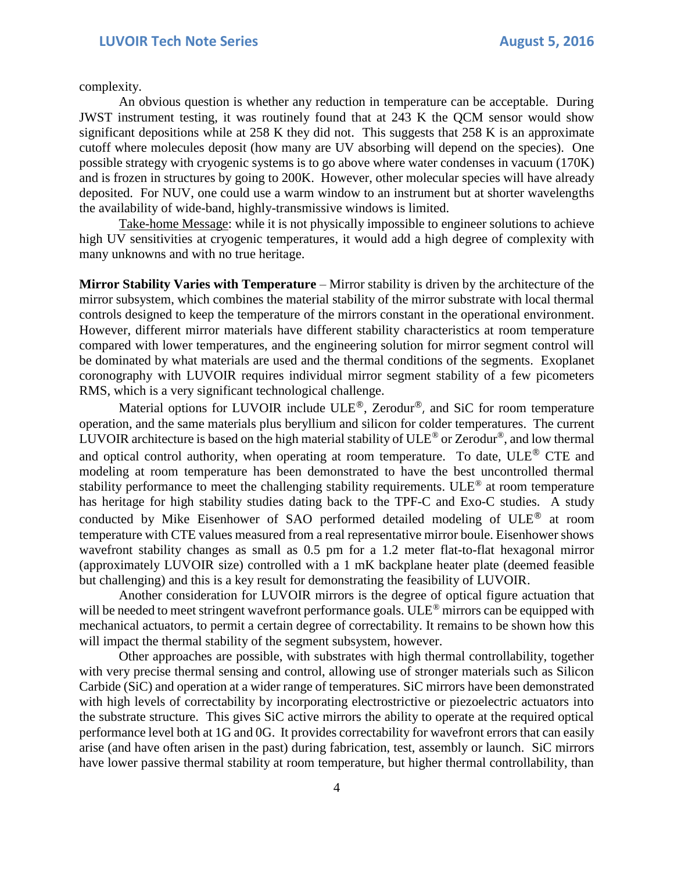complexity.

An obvious question is whether any reduction in temperature can be acceptable. During JWST instrument testing, it was routinely found that at 243 K the QCM sensor would show significant depositions while at 258 K they did not. This suggests that 258 K is an approximate cutoff where molecules deposit (how many are UV absorbing will depend on the species). One possible strategy with cryogenic systems is to go above where water condenses in vacuum (170K) and is frozen in structures by going to 200K. However, other molecular species will have already deposited. For NUV, one could use a warm window to an instrument but at shorter wavelengths the availability of wide-band, highly-transmissive windows is limited.

Take-home Message: while it is not physically impossible to engineer solutions to achieve high UV sensitivities at cryogenic temperatures, it would add a high degree of complexity with many unknowns and with no true heritage.

**Mirror Stability Varies with Temperature** – Mirror stability is driven by the architecture of the mirror subsystem, which combines the material stability of the mirror substrate with local thermal controls designed to keep the temperature of the mirrors constant in the operational environment. However, different mirror materials have different stability characteristics at room temperature compared with lower temperatures, and the engineering solution for mirror segment control will be dominated by what materials are used and the thermal conditions of the segments. Exoplanet coronography with LUVOIR requires individual mirror segment stability of a few picometers RMS, which is a very significant technological challenge.

Material options for LUVOIR include ULE<sup>®</sup>, Zerodur<sup>®</sup>, and SiC for room temperature operation, and the same materials plus beryllium and silicon for colder temperatures. The current LUVOIR architecture is based on the high material stability of ULE® or Zerodur®, and low thermal and optical control authority, when operating at room temperature. To date,  $ULE^{\circledR}$  CTE and modeling at room temperature has been demonstrated to have the best uncontrolled thermal stability performance to meet the challenging stability requirements. ULE® at room temperature has heritage for high stability studies dating back to the TPF-C and Exo-C studies. A study conducted by Mike Eisenhower of SAO performed detailed modeling of ULE® at room temperature with CTE values measured from a real representative mirror boule. Eisenhower shows wavefront stability changes as small as 0.5 pm for a 1.2 meter flat-to-flat hexagonal mirror (approximately LUVOIR size) controlled with a 1 mK backplane heater plate (deemed feasible but challenging) and this is a key result for demonstrating the feasibility of LUVOIR.

Another consideration for LUVOIR mirrors is the degree of optical figure actuation that will be needed to meet stringent wavefront performance goals. ULE<sup>®</sup> mirrors can be equipped with mechanical actuators, to permit a certain degree of correctability. It remains to be shown how this will impact the thermal stability of the segment subsystem, however.

Other approaches are possible, with substrates with high thermal controllability, together with very precise thermal sensing and control, allowing use of stronger materials such as Silicon Carbide (SiC) and operation at a wider range of temperatures. SiC mirrors have been demonstrated with high levels of correctability by incorporating electrostrictive or piezoelectric actuators into the substrate structure. This gives SiC active mirrors the ability to operate at the required optical performance level both at 1G and 0G. It provides correctability for wavefront errors that can easily arise (and have often arisen in the past) during fabrication, test, assembly or launch. SiC mirrors have lower passive thermal stability at room temperature, but higher thermal controllability, than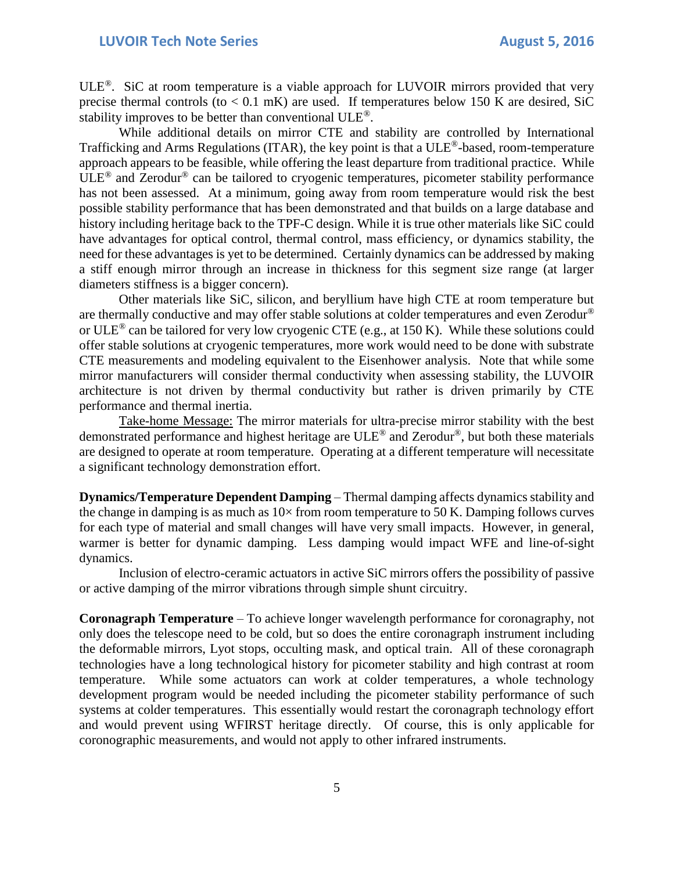$ULE^{\circ}$ . SiC at room temperature is a viable approach for LUVOIR mirrors provided that very precise thermal controls (to  $< 0.1$  mK) are used. If temperatures below 150 K are desired, SiC stability improves to be better than conventional ULE®.

While additional details on mirror CTE and stability are controlled by International Trafficking and Arms Regulations (ITAR), the key point is that a ULE®-based, room-temperature approach appears to be feasible, while offering the least departure from traditional practice. While  $ULE^{\circledR}$  and Zerodur<sup>®</sup> can be tailored to cryogenic temperatures, picometer stability performance has not been assessed. At a minimum, going away from room temperature would risk the best possible stability performance that has been demonstrated and that builds on a large database and history including heritage back to the TPF-C design. While it is true other materials like SiC could have advantages for optical control, thermal control, mass efficiency, or dynamics stability, the need for these advantages is yet to be determined. Certainly dynamics can be addressed by making a stiff enough mirror through an increase in thickness for this segment size range (at larger diameters stiffness is a bigger concern).

Other materials like SiC, silicon, and beryllium have high CTE at room temperature but are thermally conductive and may offer stable solutions at colder temperatures and even Zerodur® or ULE<sup>®</sup> can be tailored for very low cryogenic CTE (e.g., at 150 K). While these solutions could offer stable solutions at cryogenic temperatures, more work would need to be done with substrate CTE measurements and modeling equivalent to the Eisenhower analysis. Note that while some mirror manufacturers will consider thermal conductivity when assessing stability, the LUVOIR architecture is not driven by thermal conductivity but rather is driven primarily by CTE performance and thermal inertia.

Take-home Message: The mirror materials for ultra-precise mirror stability with the best demonstrated performance and highest heritage are ULE® and Zerodur®, but both these materials are designed to operate at room temperature. Operating at a different temperature will necessitate a significant technology demonstration effort.

**Dynamics/Temperature Dependent Damping** – Thermal damping affects dynamics stability and the change in damping is as much as  $10\times$  from room temperature to 50 K. Damping follows curves for each type of material and small changes will have very small impacts. However, in general, warmer is better for dynamic damping. Less damping would impact WFE and line-of-sight dynamics.

Inclusion of electro-ceramic actuators in active SiC mirrors offers the possibility of passive or active damping of the mirror vibrations through simple shunt circuitry.

**Coronagraph Temperature** – To achieve longer wavelength performance for coronagraphy, not only does the telescope need to be cold, but so does the entire coronagraph instrument including the deformable mirrors, Lyot stops, occulting mask, and optical train. All of these coronagraph technologies have a long technological history for picometer stability and high contrast at room temperature. While some actuators can work at colder temperatures, a whole technology development program would be needed including the picometer stability performance of such systems at colder temperatures. This essentially would restart the coronagraph technology effort and would prevent using WFIRST heritage directly. Of course, this is only applicable for coronographic measurements, and would not apply to other infrared instruments.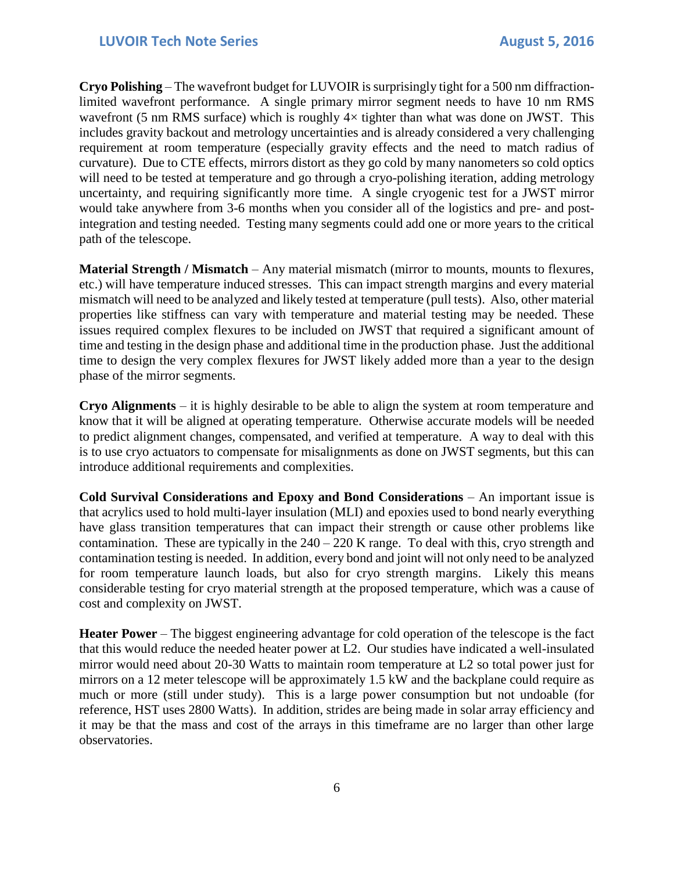**Cryo Polishing** – The wavefront budget for LUVOIR is surprisingly tight for a 500 nm diffractionlimited wavefront performance. A single primary mirror segment needs to have 10 nm RMS wavefront (5 nm RMS surface) which is roughly  $4\times$  tighter than what was done on JWST. This includes gravity backout and metrology uncertainties and is already considered a very challenging requirement at room temperature (especially gravity effects and the need to match radius of curvature). Due to CTE effects, mirrors distort as they go cold by many nanometers so cold optics will need to be tested at temperature and go through a cryo-polishing iteration, adding metrology uncertainty, and requiring significantly more time. A single cryogenic test for a JWST mirror would take anywhere from 3-6 months when you consider all of the logistics and pre- and postintegration and testing needed. Testing many segments could add one or more years to the critical path of the telescope.

**Material Strength / Mismatch** – Any material mismatch (mirror to mounts, mounts to flexures, etc.) will have temperature induced stresses. This can impact strength margins and every material mismatch will need to be analyzed and likely tested at temperature (pull tests). Also, other material properties like stiffness can vary with temperature and material testing may be needed. These issues required complex flexures to be included on JWST that required a significant amount of time and testing in the design phase and additional time in the production phase. Just the additional time to design the very complex flexures for JWST likely added more than a year to the design phase of the mirror segments.

**Cryo Alignments** – it is highly desirable to be able to align the system at room temperature and know that it will be aligned at operating temperature. Otherwise accurate models will be needed to predict alignment changes, compensated, and verified at temperature. A way to deal with this is to use cryo actuators to compensate for misalignments as done on JWST segments, but this can introduce additional requirements and complexities.

**Cold Survival Considerations and Epoxy and Bond Considerations** – An important issue is that acrylics used to hold multi-layer insulation (MLI) and epoxies used to bond nearly everything have glass transition temperatures that can impact their strength or cause other problems like contamination. These are typically in the  $240 - 220$  K range. To deal with this, cryo strength and contamination testing is needed. In addition, every bond and joint will not only need to be analyzed for room temperature launch loads, but also for cryo strength margins. Likely this means considerable testing for cryo material strength at the proposed temperature, which was a cause of cost and complexity on JWST.

**Heater Power** – The biggest engineering advantage for cold operation of the telescope is the fact that this would reduce the needed heater power at L2. Our studies have indicated a well-insulated mirror would need about 20-30 Watts to maintain room temperature at L2 so total power just for mirrors on a 12 meter telescope will be approximately 1.5 kW and the backplane could require as much or more (still under study). This is a large power consumption but not undoable (for reference, HST uses 2800 Watts). In addition, strides are being made in solar array efficiency and it may be that the mass and cost of the arrays in this timeframe are no larger than other large observatories.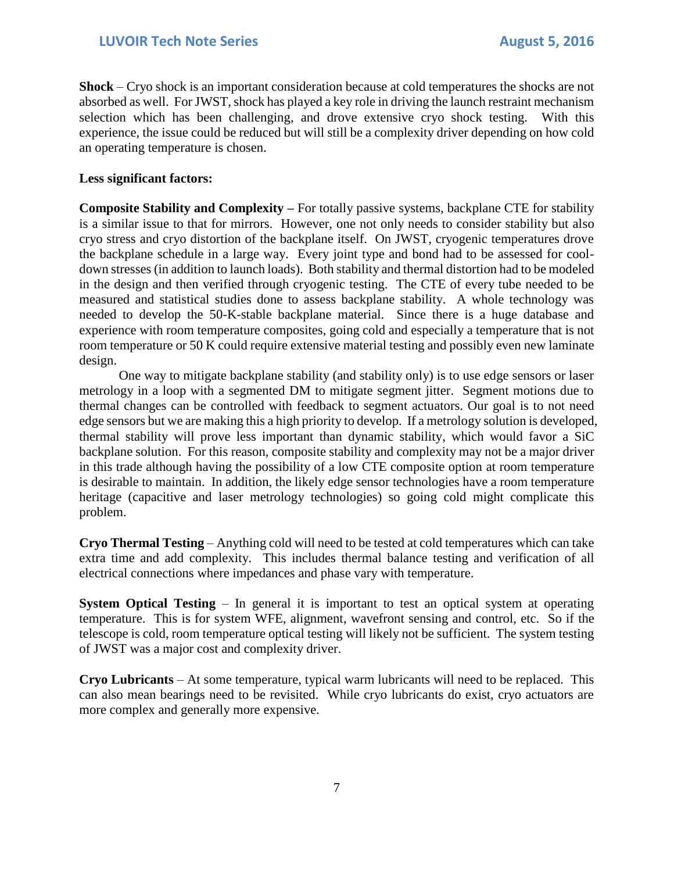**Shock** – Cryo shock is an important consideration because at cold temperatures the shocks are not absorbed as well. For JWST, shock has played a key role in driving the launch restraint mechanism selection which has been challenging, and drove extensive cryo shock testing. With this experience, the issue could be reduced but will still be a complexity driver depending on how cold an operating temperature is chosen.

## **Less significant factors:**

**Composite Stability and Complexity –** For totally passive systems, backplane CTE for stability is a similar issue to that for mirrors. However, one not only needs to consider stability but also cryo stress and cryo distortion of the backplane itself. On JWST, cryogenic temperatures drove the backplane schedule in a large way. Every joint type and bond had to be assessed for cooldown stresses (in addition to launch loads). Both stability and thermal distortion had to be modeled in the design and then verified through cryogenic testing. The CTE of every tube needed to be measured and statistical studies done to assess backplane stability. A whole technology was needed to develop the 50-K-stable backplane material. Since there is a huge database and experience with room temperature composites, going cold and especially a temperature that is not room temperature or 50 K could require extensive material testing and possibly even new laminate design.

One way to mitigate backplane stability (and stability only) is to use edge sensors or laser metrology in a loop with a segmented DM to mitigate segment jitter. Segment motions due to thermal changes can be controlled with feedback to segment actuators. Our goal is to not need edge sensors but we are making this a high priority to develop. If a metrology solution is developed, thermal stability will prove less important than dynamic stability, which would favor a SiC backplane solution. For this reason, composite stability and complexity may not be a major driver in this trade although having the possibility of a low CTE composite option at room temperature is desirable to maintain. In addition, the likely edge sensor technologies have a room temperature heritage (capacitive and laser metrology technologies) so going cold might complicate this problem.

**Cryo Thermal Testing** – Anything cold will need to be tested at cold temperatures which can take extra time and add complexity. This includes thermal balance testing and verification of all electrical connections where impedances and phase vary with temperature.

**System Optical Testing** – In general it is important to test an optical system at operating temperature. This is for system WFE, alignment, wavefront sensing and control, etc. So if the telescope is cold, room temperature optical testing will likely not be sufficient. The system testing of JWST was a major cost and complexity driver.

**Cryo Lubricants** – At some temperature, typical warm lubricants will need to be replaced. This can also mean bearings need to be revisited. While cryo lubricants do exist, cryo actuators are more complex and generally more expensive.